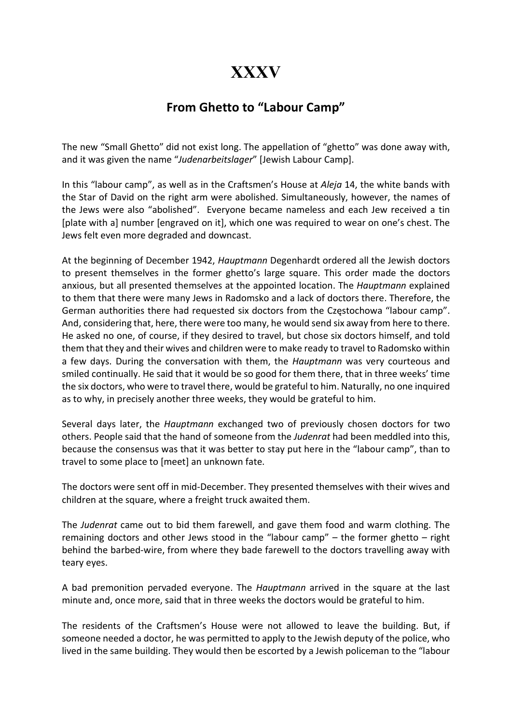## XXXV

## From Ghetto to "Labour Camp"

The new "Small Ghetto" did not exist long. The appellation of "ghetto" was done away with, and it was given the name "Judenarbeitslager" [Jewish Labour Camp].

In this "labour camp", as well as in the Craftsmen's House at Aleja 14, the white bands with the Star of David on the right arm were abolished. Simultaneously, however, the names of the Jews were also "abolished". Everyone became nameless and each Jew received a tin [plate with a] number [engraved on it], which one was required to wear on one's chest. The Jews felt even more degraded and downcast.

At the beginning of December 1942, Hauptmann Degenhardt ordered all the Jewish doctors to present themselves in the former ghetto's large square. This order made the doctors anxious, but all presented themselves at the appointed location. The *Hauptmann* explained to them that there were many Jews in Radomsko and a lack of doctors there. Therefore, the German authorities there had requested six doctors from the Częstochowa "labour camp". And, considering that, here, there were too many, he would send six away from here to there. He asked no one, of course, if they desired to travel, but chose six doctors himself, and told them that they and their wives and children were to make ready to travel to Radomsko within a few days. During the conversation with them, the Hauptmann was very courteous and smiled continually. He said that it would be so good for them there, that in three weeks' time the six doctors, who were to travel there, would be grateful to him. Naturally, no one inquired as to why, in precisely another three weeks, they would be grateful to him.

Several days later, the Hauptmann exchanged two of previously chosen doctors for two others. People said that the hand of someone from the Judenrat had been meddled into this, because the consensus was that it was better to stay put here in the "labour camp", than to travel to some place to [meet] an unknown fate.

The doctors were sent off in mid-December. They presented themselves with their wives and children at the square, where a freight truck awaited them.

The Judenrat came out to bid them farewell, and gave them food and warm clothing. The remaining doctors and other Jews stood in the "labour camp" – the former ghetto – right behind the barbed-wire, from where they bade farewell to the doctors travelling away with teary eyes.

A bad premonition pervaded everyone. The Hauptmann arrived in the square at the last minute and, once more, said that in three weeks the doctors would be grateful to him.

The residents of the Craftsmen's House were not allowed to leave the building. But, if someone needed a doctor, he was permitted to apply to the Jewish deputy of the police, who lived in the same building. They would then be escorted by a Jewish policeman to the "labour